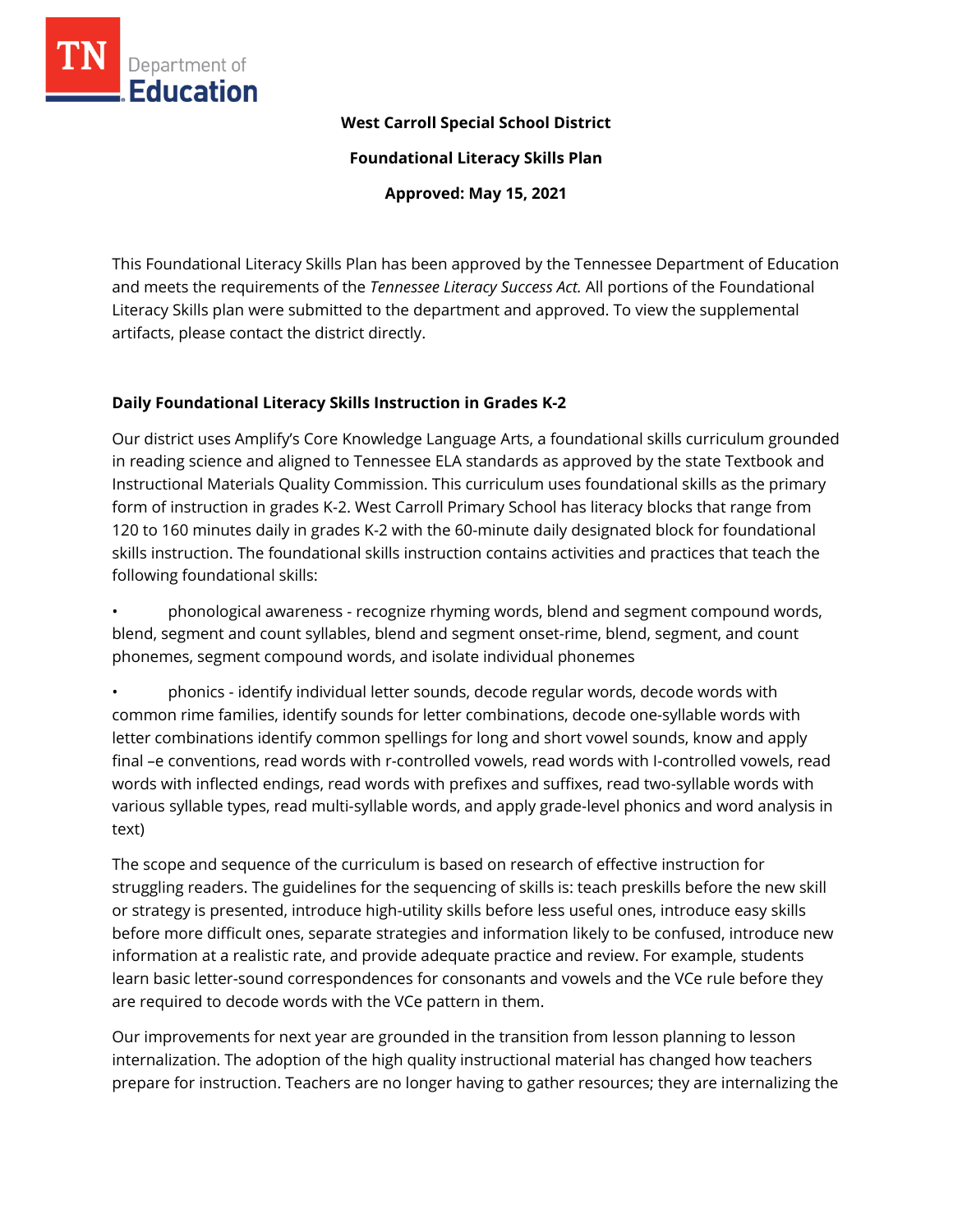

#### **West Carroll Special School District**

**Foundational Literacy Skills Plan**

**Approved: May 15, 2021**

This Foundational Literacy Skills Plan has been approved by the Tennessee Department of Education and meets the requirements of the *Tennessee Literacy Success Act.* All portions of the Foundational Literacy Skills plan were submitted to the department and approved. To view the supplemental artifacts, please contact the district directly.

#### **Daily Foundational Literacy Skills Instruction in Grades K-2**

Our district uses Amplify's Core Knowledge Language Arts, a foundational skills curriculum grounded in reading science and aligned to Tennessee ELA standards as approved by the state Textbook and Instructional Materials Quality Commission. This curriculum uses foundational skills as the primary form of instruction in grades K-2. West Carroll Primary School has literacy blocks that range from 120 to 160 minutes daily in grades K-2 with the 60-minute daily designated block for foundational skills instruction. The foundational skills instruction contains activities and practices that teach the following foundational skills:

• phonological awareness - recognize rhyming words, blend and segment compound words, blend, segment and count syllables, blend and segment onset-rime, blend, segment, and count phonemes, segment compound words, and isolate individual phonemes

• phonics - identify individual letter sounds, decode regular words, decode words with common rime families, identify sounds for letter combinations, decode one-syllable words with letter combinations identify common spellings for long and short vowel sounds, know and apply final –e conventions, read words with r-controlled vowels, read words with I-controlled vowels, read words with inflected endings, read words with prefixes and suffixes, read two-syllable words with various syllable types, read multi-syllable words, and apply grade-level phonics and word analysis in text)

The scope and sequence of the curriculum is based on research of effective instruction for struggling readers. The guidelines for the sequencing of skills is: teach preskills before the new skill or strategy is presented, introduce high-utility skills before less useful ones, introduce easy skills before more difficult ones, separate strategies and information likely to be confused, introduce new information at a realistic rate, and provide adequate practice and review. For example, students learn basic letter-sound correspondences for consonants and vowels and the VCe rule before they are required to decode words with the VCe pattern in them.

Our improvements for next year are grounded in the transition from lesson planning to lesson internalization. The adoption of the high quality instructional material has changed how teachers prepare for instruction. Teachers are no longer having to gather resources; they are internalizing the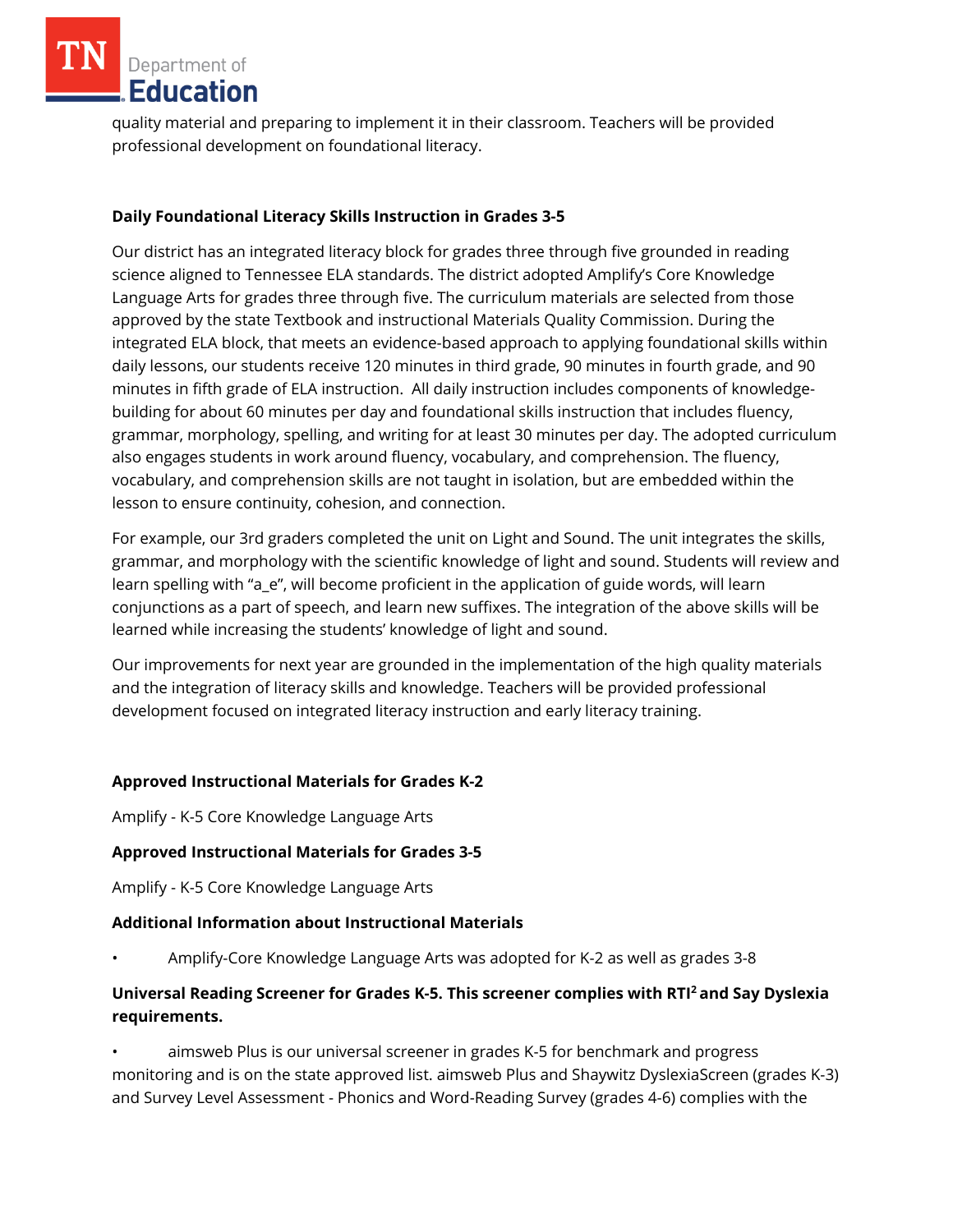Department of **Education** 

quality material and preparing to implement it in their classroom. Teachers will be provided professional development on foundational literacy.

# **Daily Foundational Literacy Skills Instruction in Grades 3-5**

Our district has an integrated literacy block for grades three through five grounded in reading science aligned to Tennessee ELA standards. The district adopted Amplify's Core Knowledge Language Arts for grades three through five. The curriculum materials are selected from those approved by the state Textbook and instructional Materials Quality Commission. During the integrated ELA block, that meets an evidence-based approach to applying foundational skills within daily lessons, our students receive 120 minutes in third grade, 90 minutes in fourth grade, and 90 minutes in fifth grade of ELA instruction. All daily instruction includes components of knowledgebuilding for about 60 minutes per day and foundational skills instruction that includes fluency, grammar, morphology, spelling, and writing for at least 30 minutes per day. The adopted curriculum also engages students in work around fluency, vocabulary, and comprehension. The fluency, vocabulary, and comprehension skills are not taught in isolation, but are embedded within the lesson to ensure continuity, cohesion, and connection.

For example, our 3rd graders completed the unit on Light and Sound. The unit integrates the skills, grammar, and morphology with the scientific knowledge of light and sound. Students will review and learn spelling with "a\_e", will become proficient in the application of guide words, will learn conjunctions as a part of speech, and learn new suffixes. The integration of the above skills will be learned while increasing the students' knowledge of light and sound.

Our improvements for next year are grounded in the implementation of the high quality materials and the integration of literacy skills and knowledge. Teachers will be provided professional development focused on integrated literacy instruction and early literacy training.

### **Approved Instructional Materials for Grades K-2**

Amplify - K-5 Core Knowledge Language Arts

### **Approved Instructional Materials for Grades 3-5**

Amplify - K-5 Core Knowledge Language Arts

### **Additional Information about Instructional Materials**

• Amplify-Core Knowledge Language Arts was adopted for K-2 as well as grades 3-8

# **Universal Reading Screener for Grades K-5. This screener complies with RTI<sup>2</sup>and Say Dyslexia requirements.**

• aimsweb Plus is our universal screener in grades K-5 for benchmark and progress monitoring and is on the state approved list. aimsweb Plus and Shaywitz DyslexiaScreen (grades K-3) and Survey Level Assessment - Phonics and Word-Reading Survey (grades 4-6) complies with the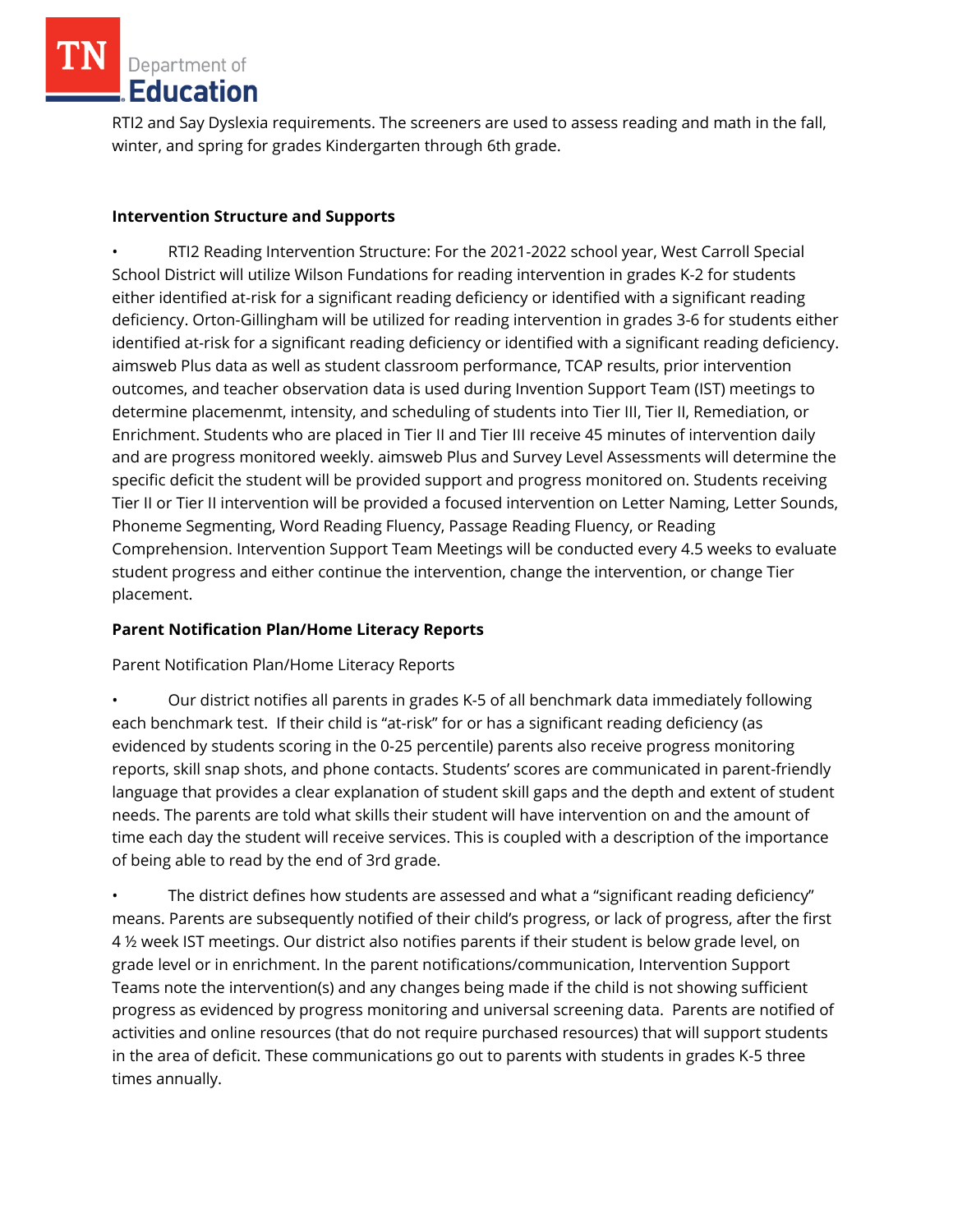Department of **Education** 

RTI2 and Say Dyslexia requirements. The screeners are used to assess reading and math in the fall, winter, and spring for grades Kindergarten through 6th grade.

#### **Intervention Structure and Supports**

• RTI2 Reading Intervention Structure: For the 2021-2022 school year, West Carroll Special School District will utilize Wilson Fundations for reading intervention in grades K-2 for students either identified at-risk for a significant reading deficiency or identified with a significant reading deficiency. Orton-Gillingham will be utilized for reading intervention in grades 3-6 for students either identified at-risk for a significant reading deficiency or identified with a significant reading deficiency. aimsweb Plus data as well as student classroom performance, TCAP results, prior intervention outcomes, and teacher observation data is used during Invention Support Team (IST) meetings to determine placemenmt, intensity, and scheduling of students into Tier III, Tier II, Remediation, or Enrichment. Students who are placed in Tier II and Tier III receive 45 minutes of intervention daily and are progress monitored weekly. aimsweb Plus and Survey Level Assessments will determine the specific deficit the student will be provided support and progress monitored on. Students receiving Tier II or Tier II intervention will be provided a focused intervention on Letter Naming, Letter Sounds, Phoneme Segmenting, Word Reading Fluency, Passage Reading Fluency, or Reading Comprehension. Intervention Support Team Meetings will be conducted every 4.5 weeks to evaluate student progress and either continue the intervention, change the intervention, or change Tier placement.

### **Parent Notification Plan/Home Literacy Reports**

Parent Notification Plan/Home Literacy Reports

• Our district notifies all parents in grades K-5 of all benchmark data immediately following each benchmark test. If their child is "at-risk" for or has a significant reading deficiency (as evidenced by students scoring in the 0-25 percentile) parents also receive progress monitoring reports, skill snap shots, and phone contacts. Students' scores are communicated in parent-friendly language that provides a clear explanation of student skill gaps and the depth and extent of student needs. The parents are told what skills their student will have intervention on and the amount of time each day the student will receive services. This is coupled with a description of the importance of being able to read by the end of 3rd grade.

• The district defines how students are assessed and what a "significant reading deficiency" means. Parents are subsequently notified of their child's progress, or lack of progress, after the first 4 ½ week IST meetings. Our district also notifies parents if their student is below grade level, on grade level or in enrichment. In the parent notifications/communication, Intervention Support Teams note the intervention(s) and any changes being made if the child is not showing sufficient progress as evidenced by progress monitoring and universal screening data. Parents are notified of activities and online resources (that do not require purchased resources) that will support students in the area of deficit. These communications go out to parents with students in grades K-5 three times annually.